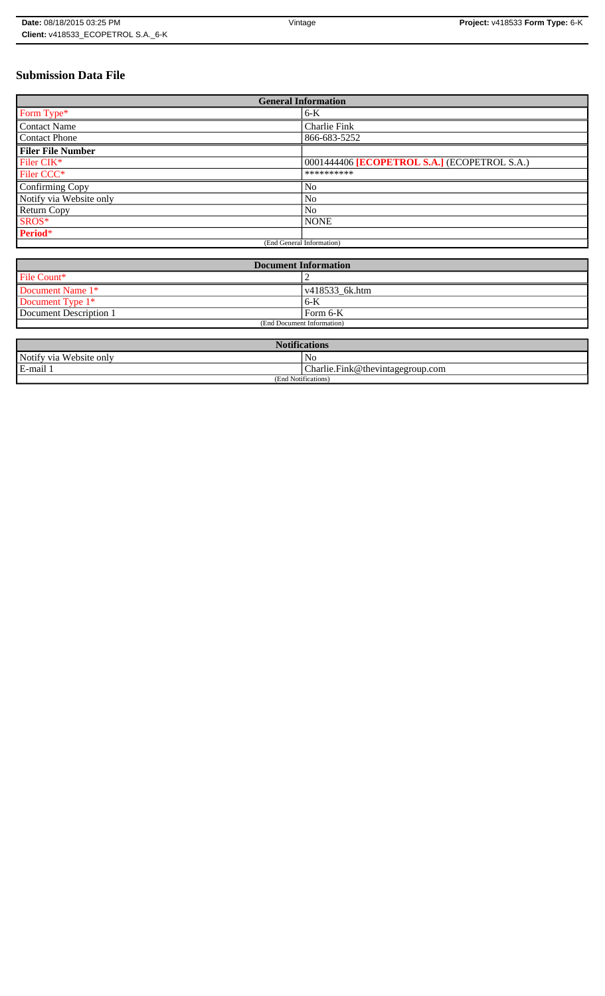# **Submission Data File**

| <b>General Information</b> |                                              |
|----------------------------|----------------------------------------------|
| Form Type*                 | $6-K$                                        |
| <b>Contact Name</b>        | Charlie Fink                                 |
| <b>Contact Phone</b>       | 866-683-5252                                 |
| <b>Filer File Number</b>   |                                              |
| Filer CIK*                 | 0001444406 [ECOPETROL S.A.] (ECOPETROL S.A.) |
| Filer CCC <sup>*</sup>     | **********                                   |
| Confirming Copy            | No                                           |
| Notify via Website only    | N <sub>o</sub>                               |
| <b>Return Copy</b>         | N <sub>o</sub>                               |
| SROS*                      | <b>NONE</b>                                  |
| Period*                    |                                              |
| (End General Information)  |                                              |

| <b>Document Information</b> |                        |
|-----------------------------|------------------------|
| File Count*                 |                        |
| Document Name 1*            | $\sqrt{418533}$ 6k.htm |
| Document Type 1*            | 6-K                    |
| Document Description 1      | l Form 6-K             |
| (End Document Information)  |                        |

| <b>Notifications</b>    |                                  |  |
|-------------------------|----------------------------------|--|
| Notify via Website only | N <sub>0</sub>                   |  |
| E-mail 1                | Charlie.Fink@thevintagegroup.com |  |
| (End Notifications)     |                                  |  |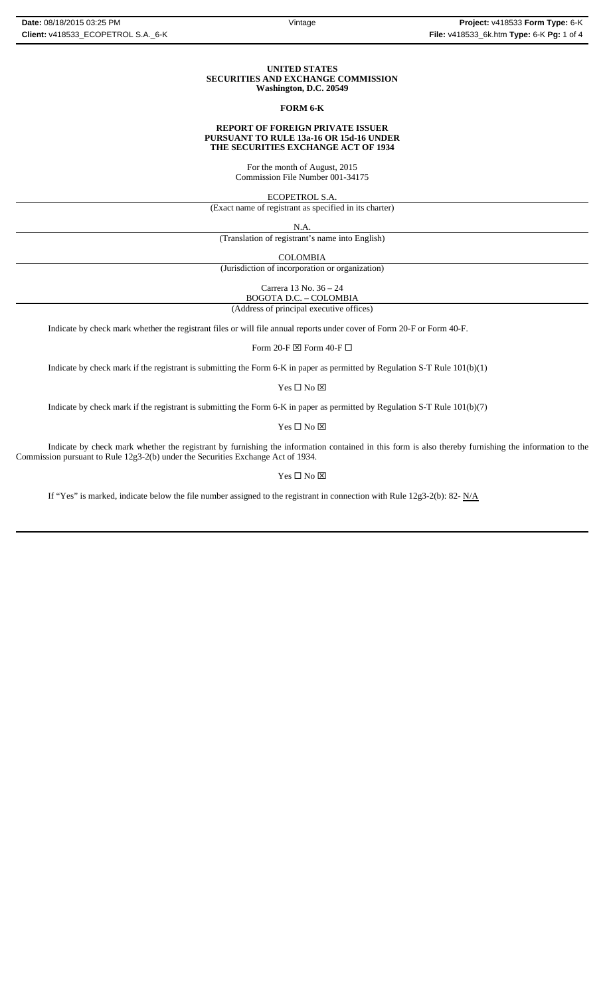#### **UNITED STATES SECURITIES AND EXCHANGE COMMISSION Washington, D.C. 20549**

### **FORM 6-K**

#### **REPORT OF FOREIGN PRIVATE ISSUER PURSUANT TO RULE 13a-16 OR 15d-16 UNDER THE SECURITIES EXCHANGE ACT OF 1934**

For the month of August, 2015 Commission File Number 001-34175

ECOPETROL S.A.

(Exact name of registrant as specified in its charter)

N.A.

(Translation of registrant's name into English)

COLOMBIA

(Jurisdiction of incorporation or organization)

Carrera 13 No. 36 – 24 BOGOTA D.C. – COLOMBIA

(Address of principal executive offices)

Indicate by check mark whether the registrant files or will file annual reports under cover of Form 20-F or Form 40-F.

Form 20-F  $\boxtimes$  Form 40-F  $\Box$ 

Indicate by check mark if the registrant is submitting the Form 6-K in paper as permitted by Regulation S-T Rule 101(b)(1)

Yes $\square$  No  $\square$ 

Indicate by check mark if the registrant is submitting the Form 6-K in paper as permitted by Regulation S-T Rule 101(b)(7)

 $\mathbf{Yes} \ \square \ \mathbf{No} \ \boxtimes$ 

Indicate by check mark whether the registrant by furnishing the information contained in this form is also thereby furnishing the information to the Commission pursuant to Rule 12g3-2(b) under the Securities Exchange Act of 1934.

### $Yes \Box No \boxtimes$

If "Yes" is marked, indicate below the file number assigned to the registrant in connection with Rule 12g3-2(b): 82-  $N/A$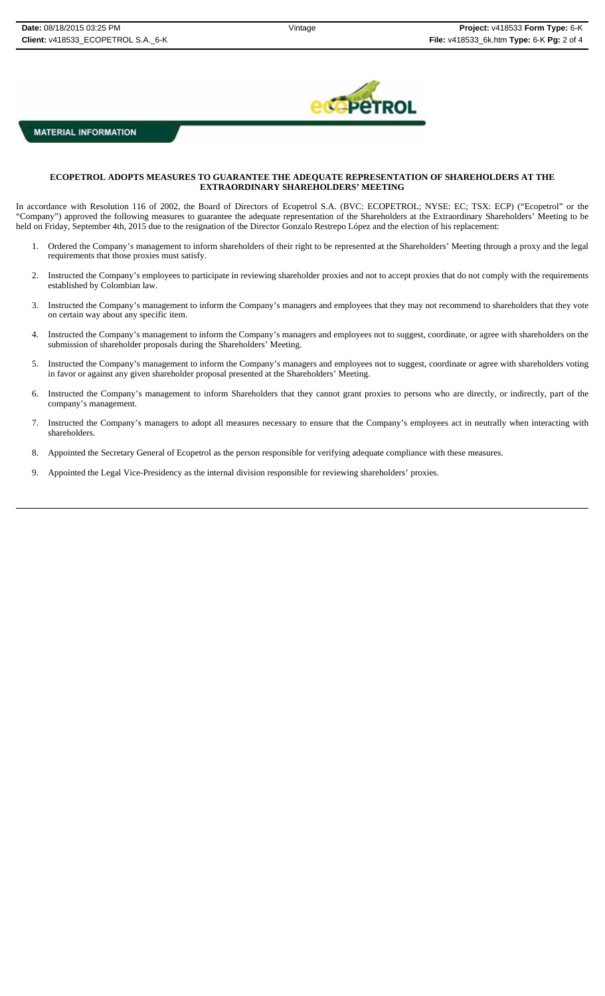

## **MATERIAL INFORMATION**

### **ECOPETROL ADOPTS MEASURES TO GUARANTEE THE ADEQUATE REPRESENTATION OF SHAREHOLDERS AT THE EXTRAORDINARY SHAREHOLDERS' MEETING**

In accordance with Resolution 116 of 2002, the Board of Directors of Ecopetrol S.A. (BVC: ECOPETROL; NYSE: EC; TSX: ECP) ("Ecopetrol" or the "Company") approved the following measures to guarantee the adequate representation of the Shareholders at the Extraordinary Shareholders' Meeting to be held on Friday, September 4th, 2015 due to the resignation of the Director Gonzalo Restrepo López and the election of his replacement:

- 1. Ordered the Company's management to inform shareholders of their right to be represented at the Shareholders' Meeting through a proxy and the legal requirements that those proxies must satisfy.
- 2. Instructed the Company's employees to participate in reviewing shareholder proxies and not to accept proxies that do not comply with the requirements established by Colombian law.
- 3. Instructed the Company's management to inform the Company's managers and employees that they may not recommend to shareholders that they vote on certain way about any specific item.
- 4. Instructed the Company's management to inform the Company's managers and employees not to suggest, coordinate, or agree with shareholders on the submission of shareholder proposals during the Shareholders' Meeting.
- 5. Instructed the Company's management to inform the Company's managers and employees not to suggest, coordinate or agree with shareholders voting in favor or against any given shareholder proposal presented at the Shareholders' Meeting.
- 6. Instructed the Company's management to inform Shareholders that they cannot grant proxies to persons who are directly, or indirectly, part of the company's management.
- 7. Instructed the Company's managers to adopt all measures necessary to ensure that the Company's employees act in neutrally when interacting with shareholders.
- 8. Appointed the Secretary General of Ecopetrol as the person responsible for verifying adequate compliance with these measures.
- 9. Appointed the Legal Vice-Presidency as the internal division responsible for reviewing shareholders' proxies.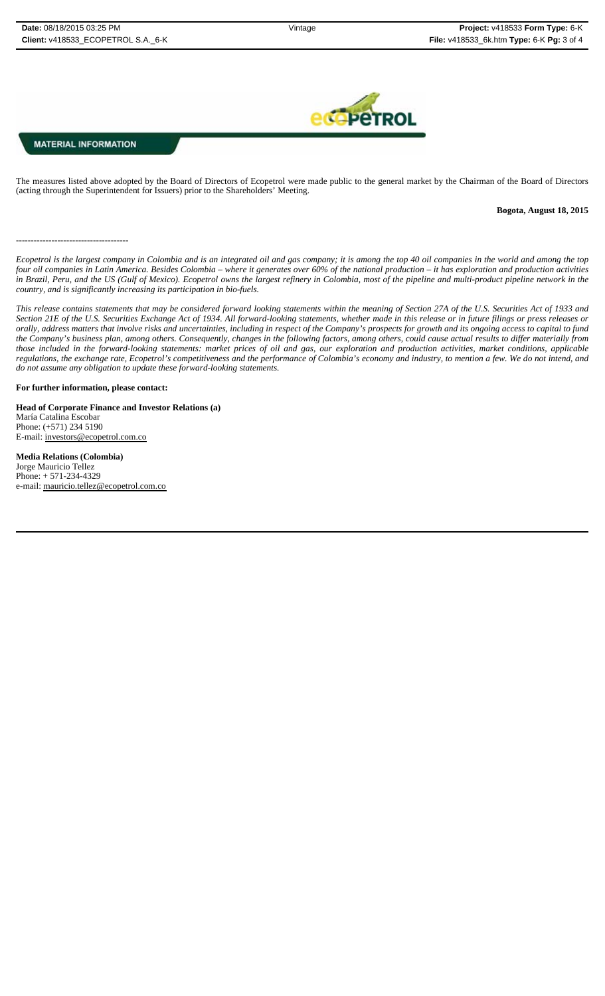## **MATERIAL INFORMATION**

--------------------------------------

The measures listed above adopted by the Board of Directors of Ecopetrol were made public to the general market by the Chairman of the Board of Directors (acting through the Superintendent for Issuers) prior to the Shareholders' Meeting.

### **Bogota, August 18, 2015**

*Ecopetrol is the largest company in Colombia and is an integrated oil and gas company; it is among the top 40 oil companies in the world and among the top four oil companies in Latin America. Besides Colombia – where it generates over 60% of the national production – it has exploration and production activities in Brazil, Peru, and the US (Gulf of Mexico). Ecopetrol owns the largest refinery in Colombia, most of the pipeline and multi-product pipeline network in the country, and is significantly increasing its participation in bio-fuels.* 

*This release contains statements that may be considered forward looking statements within the meaning of Section 27A of the U.S. Securities Act of 1933 and Section 21E of the U.S. Securities Exchange Act of 1934. All forward-looking statements, whether made in this release or in future filings or press releases or* orally, address matters that involve risks and uncertainties, including in respect of the Company's prospects for growth and its ongoing access to capital to fund *the Company's business plan, among others. Consequently, changes in the following factors, among others, could cause actual results to differ materially from those included in the forward-looking statements: market prices of oil and gas, our exploration and production activities, market conditions, applicable regulations, the exchange rate, Ecopetrol's competitiveness and the performance of Colombia's economy and industry, to mention a few. We do not intend, and do not assume any obligation to update these forward-looking statements.*

#### **For further information, please contact:**

**Head of Corporate Finance and Investor Relations (a)** María Catalina Escobar Phone: (+571) 234 5190 E-mail: investors@ecopetrol.com.co

**Media Relations (Colombia)**  Jorge Mauricio Tellez Phone: + 571-234-4329 e-mail: mauricio.tellez@ecopetrol.com.co